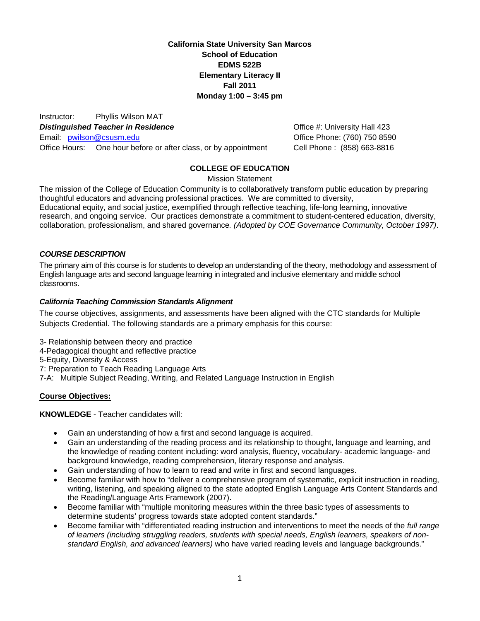**California State University San Marcos School of Education EDMS 522B Elementary Literacy II Fall 2011 Monday 1:00 – 3:45 pm**

Instructor: Phyllis Wilson MAT **Distinguished Teacher in Residence Container and Construction Construction Construction Act District Property Hall 423** Email: pwilson@csusm.edu Office Hours: One hour before or after class, or by appointment Cell Phone : (858) 663-8816

Office Phone: (760) 750 8590

### **COLLEGE OF EDUCATION**

Mission Statement

The mission of the College of Education Community is to collaboratively transform public education by preparing thoughtful educators and advancing professional practices. We are committed to diversity, Educational equity, and social justice, exemplified through reflective teaching, life-long learning, innovative research, and ongoing service. Our practices demonstrate a commitment to student-centered education, diversity, collaboration, professionalism, and shared governance*. (Adopted by COE Governance Community, October 1997)*.

#### *COURSE DESCRIPTION*

The primary aim of this course is for students to develop an understanding of the theory, methodology and assessment of English language arts and second language learning in integrated and inclusive elementary and middle school classrooms.

#### *California Teaching Commission Standards Alignment*

The course objectives, assignments, and assessments have been aligned with the CTC standards for Multiple Subjects Credential. The following standards are a primary emphasis for this course:

- 3- Relationship between theory and practice
- 4- Pedagogical thought and reflective practice

5-Equity, Diversity & Access

7: Preparation to Teach Reading Language Arts

7-A: Multiple Subject Reading, Writing, and Related Language Instruction in English

#### **Course Objectives:**

**KNOWLEDGE** - Teacher candidates will:

- Gain an understanding of how a first and second language is acquired.
- Gain an understanding of the reading process and its relationship to thought, language and learning, and the knowledge of reading content including: word analysis, fluency, vocabulary- academic language- and background knowledge, reading comprehension, literary response and analysis.
- Gain understanding of how to learn to read and write in first and second languages.
- Become familiar with how to "deliver a comprehensive program of systematic, explicit instruction in reading, writing, listening, and speaking aligned to the state adopted English Language Arts Content Standards and the Reading/Language Arts Framework (2007).
- Become familiar with "multiple monitoring measures within the three basic types of assessments to determine students' progress towards state adopted content standards."
- Become familiar with "differentiated reading instruction and interventions to meet the needs of the *full range of learners (including struggling readers, students with special needs, English learners, speakers of nonstandard English, and advanced learners)* who have varied reading levels and language backgrounds."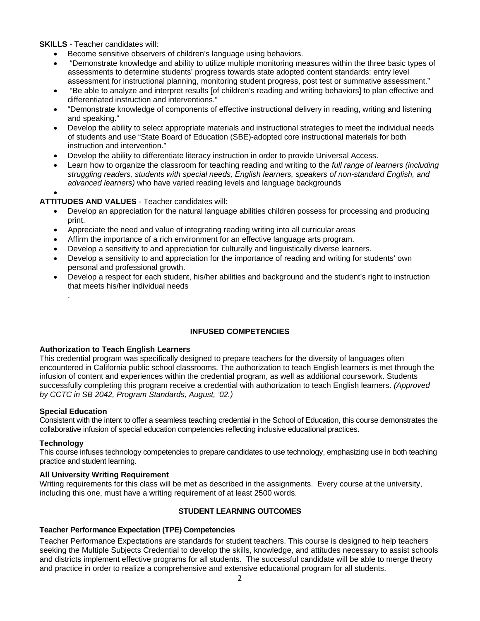**SKILLS** - Teacher candidates will:

- Become sensitive observers of children's language using behaviors.
- "Demonstrate knowledge and ability to utilize multiple monitoring measures within the three basic types of assessments to determine students' progress towards state adopted content standards: entry level assessment for instructional planning, monitoring student progress, post test or summative assessment."
- "Be able to analyze and interpret results [of children's reading and writing behaviors] to plan effective and differentiated instruction and interventions."
- "Demonstrate knowledge of components of effective instructional delivery in reading, writing and listening and speaking."
- Develop the ability to select appropriate materials and instructional strategies to meet the individual needs of students and use "State Board of Education (SBE)-adopted core instructional materials for both instruction and intervention."
- Develop the ability to differentiate literacy instruction in order to provide Universal Access.
- Learn how to organize the classroom for teaching reading and writing to the *full range of learners (including struggling readers, students with special needs, English learners, speakers of non-standard English, and advanced learners)* who have varied reading levels and language backgrounds

#### $\bullet$

#### **ATTITUDES AND VALUES** - Teacher candidates will:

- Develop an appreciation for the natural language abilities children possess for processing and producing print.
- Appreciate the need and value of integrating reading writing into all curricular areas
- Affirm the importance of a rich environment for an effective language arts program.
- Develop a sensitivity to and appreciation for culturally and linguistically diverse learners.
- Develop a sensitivity to and appreciation for the importance of reading and writing for students' own personal and professional growth.
- Develop a respect for each student, his/her abilities and background and the student's right to instruction that meets his/her individual needs

#### **INFUSED COMPETENCIES**

#### **Authorization to Teach English Learners**

This credential program was specifically designed to prepare teachers for the diversity of languages often encountered in California public school classrooms. The authorization to teach English learners is met through the infusion of content and experiences within the credential program, as well as additional coursework. Students successfully completing this program receive a credential with authorization to teach English learners. *(Approved by CCTC in SB 2042, Program Standards, August, '02.)* 

#### **Special Education**

.

Consistent with the intent to offer a seamless teaching credential in the School of Education, this course demonstrates the collaborative infusion of special education competencies reflecting inclusive educational practices.

#### **Technology**

This course infuses technology competencies to prepare candidates to use technology, emphasizing use in both teaching practice and student learning.

#### **All University Writing Requirement**

Writing requirements for this class will be met as described in the assignments. Every course at the university, including this one, must have a writing requirement of at least 2500 words.

#### **STUDENT LEARNING OUTCOMES**

#### **Teacher Performance Expectation (TPE) Competencies**

Teacher Performance Expectations are standards for student teachers. This course is designed to help teachers seeking the Multiple Subjects Credential to develop the skills, knowledge, and attitudes necessary to assist schools and districts implement effective programs for all students. The successful candidate will be able to merge theory and practice in order to realize a comprehensive and extensive educational program for all students.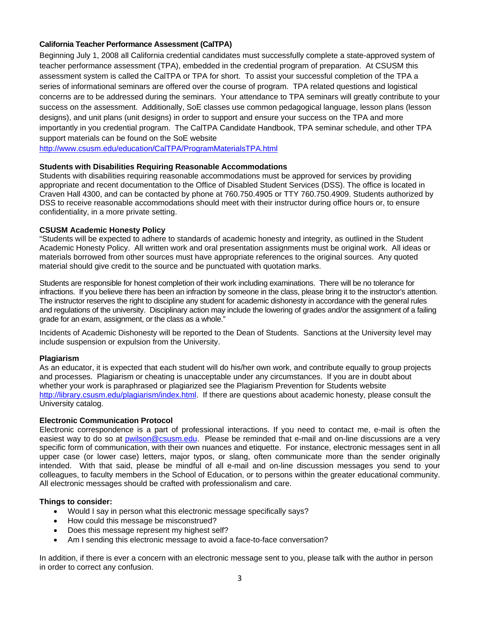#### **California Teacher Performance Assessment (CalTPA)**

Beginning July 1, 2008 all California credential candidates must successfully complete a state-approved system of teacher performance assessment (TPA), embedded in the credential program of preparation. At CSUSM this assessment system is called the CalTPA or TPA for short. To assist your successful completion of the TPA a series of informational seminars are offered over the course of program. TPA related questions and logistical concerns are to be addressed during the seminars. Your attendance to TPA seminars will greatly contribute to your success on the assessment. Additionally, SoE classes use common pedagogical language, lesson plans (lesson designs), and unit plans (unit designs) in order to support and ensure your success on the TPA and more importantly in you credential program. The CalTPA Candidate Handbook, TPA seminar schedule, and other TPA support materials can be found on the SoE website

http://www.csusm.edu/education/CalTPA/ProgramMaterialsTPA.html

#### **Students with Disabilities Requiring Reasonable Accommodations**

Students with disabilities requiring reasonable accommodations must be approved for services by providing appropriate and recent documentation to the Office of Disabled Student Services (DSS). The office is located in Craven Hall 4300, and can be contacted by phone at 760.750.4905 or TTY 760.750.4909. Students authorized by DSS to receive reasonable accommodations should meet with their instructor during office hours or, to ensure confidentiality, in a more private setting.

#### **CSUSM Academic Honesty Policy**

"Students will be expected to adhere to standards of academic honesty and integrity, as outlined in the Student Academic Honesty Policy. All written work and oral presentation assignments must be original work. All ideas or materials borrowed from other sources must have appropriate references to the original sources. Any quoted material should give credit to the source and be punctuated with quotation marks.

Students are responsible for honest completion of their work including examinations. There will be no tolerance for infractions. If you believe there has been an infraction by someone in the class, please bring it to the instructor's attention. The instructor reserves the right to discipline any student for academic dishonesty in accordance with the general rules and regulations of the university. Disciplinary action may include the lowering of grades and/or the assignment of a failing grade for an exam, assignment, or the class as a whole."

Incidents of Academic Dishonesty will be reported to the Dean of Students. Sanctions at the University level may include suspension or expulsion from the University.

#### **Plagiarism**

As an educator, it is expected that each student will do his/her own work, and contribute equally to group projects and processes. Plagiarism or cheating is unacceptable under any circumstances. If you are in doubt about whether your work is paraphrased or plagiarized see the Plagiarism Prevention for Students website http://library.csusm.edu/plagiarism/index.html. If there are questions about academic honesty, please consult the University catalog.

#### **Electronic Communication Protocol**

 colleagues, to faculty members in the School of Education, or to persons within the greater educational community. Electronic correspondence is a part of professional interactions. If you need to contact me, e-mail is often the easiest way to do so at pwilson@csusm.edu. Please be reminded that e-mail and on-line discussions are a very specific form of communication, with their own nuances and etiquette. For instance, electronic messages sent in all upper case (or lower case) letters, major typos, or slang, often communicate more than the sender originally intended. With that said, please be mindful of all e-mail and on-line discussion messages you send to your All electronic messages should be crafted with professionalism and care.

#### **Things to consider:**

- Would I say in person what this electronic message specifically says?
- How could this message be misconstrued?
- Does this message represent my highest self?
- Am I sending this electronic message to avoid a face-to-face conversation?

In addition, if there is ever a concern with an electronic message sent to you, please talk with the author in person in order to correct any confusion.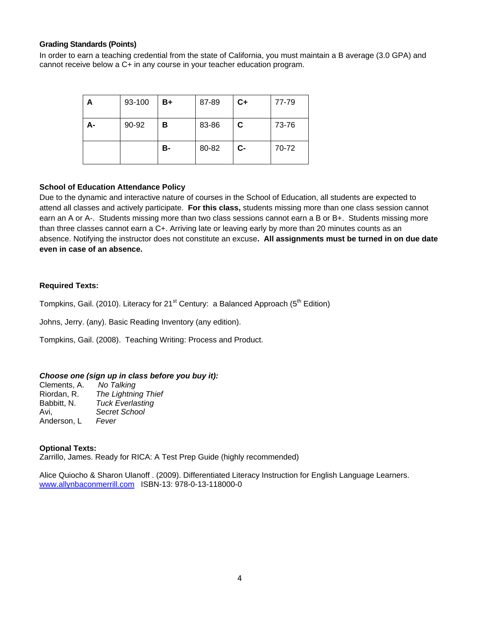#### **Grading Standards (Points)**

In order to earn a teaching credential from the state of California, you must maintain a B average (3.0 GPA) and cannot receive below a C+ in any course in your teacher education program.

| А  | 93-100 | B+ | 87-89 | $C+$ | 77-79 |
|----|--------|----|-------|------|-------|
| А- | 90-92  | в  | 83-86 | C    | 73-76 |
|    |        | в- | 80-82 | $c-$ | 70-72 |

#### **School of Education Attendance Policy**

Due to the dynamic and interactive nature of courses in the School of Education, all students are expected to attend all classes and actively participate. **For this class,** students missing more than one class session cannot earn an A or A-. Students missing more than two class sessions cannot earn a B or B+. Students missing more than three classes cannot earn a C+. Arriving late or leaving early by more than 20 minutes counts as an absence. Notifying the instructor does not constitute an excuse**. All assignments must be turned in on due date even in case of an absence.** 

#### **Required Texts:**

Tompkins, Gail. (2010). Literacy for 21<sup>st</sup> Century: a Balanced Approach ( $5<sup>th</sup>$  Edition)

Johns, Jerry. (any). Basic Reading Inventory (any edition).

Tompkins, Gail. (2008). Teaching Writing: Process and Product.

#### *Choose one (sign up in class before you buy it):*

Clements, A. *No Talking*  Riordan, R. *The Lightning Thief*  Babbitt, N. *Tuck Everlasting*  Avi, *Secret School*  Anderson, L *Fever* 

#### **Optional Texts:**

Zarrillo, James. Ready for RICA: A Test Prep Guide (highly recommended)

Alice Quiocho & Sharon Ulanoff . (2009). Differentiated Literacy Instruction for English Language Learners. www.allynbaconmerrill.com ISBN-13: 978-0-13-118000-0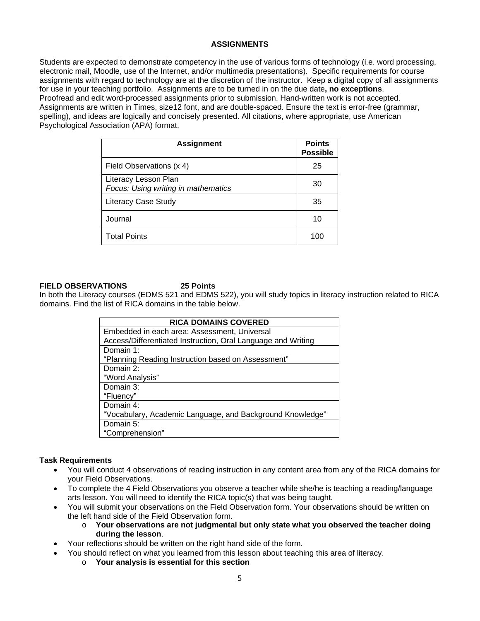#### **ASSIGNMENTS**

Students are expected to demonstrate competency in the use of various forms of technology (i.e. word processing, electronic mail, Moodle, use of the Internet, and/or multimedia presentations). Specific requirements for course assignments with regard to technology are at the discretion of the instructor. Keep a digital copy of all assignments for use in your teaching portfolio. Assignments are to be turned in on the due date**, no exceptions**. Proofread and edit word-processed assignments prior to submission. Hand-written work is not accepted. Assignments are written in Times, size12 font, and are double-spaced. Ensure the text is error-free (grammar, spelling), and ideas are logically and concisely presented. All citations, where appropriate, use American Psychological Association (APA) format.

| <b>Assignment</b>                                           | <b>Points</b><br><b>Possible</b> |
|-------------------------------------------------------------|----------------------------------|
| Field Observations (x 4)                                    | 25                               |
| Literacy Lesson Plan<br>Focus: Using writing in mathematics | 30                               |
| <b>Literacy Case Study</b>                                  | 35                               |
| Journal                                                     | 10                               |
| <b>Total Points</b>                                         | 100                              |

#### **FIELD OBSERVATIONS 25 Points**

In both the Literacy courses (EDMS 521 and EDMS 522), you will study topics in literacy instruction related to RICA domains. Find the list of RICA domains in the table below.

| <b>RICA DOMAINS COVERED</b>                                  |  |  |  |  |
|--------------------------------------------------------------|--|--|--|--|
| Embedded in each area: Assessment, Universal                 |  |  |  |  |
| Access/Differentiated Instruction, Oral Language and Writing |  |  |  |  |
| Domain 1:                                                    |  |  |  |  |
| "Planning Reading Instruction based on Assessment"           |  |  |  |  |
| Domain 2:                                                    |  |  |  |  |
| "Word Analysis"                                              |  |  |  |  |
| Domain 3:                                                    |  |  |  |  |
| "Fluency"                                                    |  |  |  |  |
| Domain 4:                                                    |  |  |  |  |
| "Vocabulary, Academic Language, and Background Knowledge"    |  |  |  |  |
| Domain 5:                                                    |  |  |  |  |
| "Comprehension"                                              |  |  |  |  |

#### **Task Requirements**

- You will conduct 4 observations of reading instruction in any content area from any of the RICA domains for your Field Observations.
- To complete the 4 Field Observations you observe a teacher while she/he is teaching a reading/language arts lesson. You will need to identify the RICA topic(s) that was being taught.
- You will submit your observations on the Field Observation form. Your observations should be written on the left hand side of the Field Observation form.
	- o **Your observations are not judgmental but only state what you observed the teacher doing during the lesson**.
- Your reflections should be written on the right hand side of the form.
	- You should reflect on what you learned from this lesson about teaching this area of literacy.
		- o **Your analysis is essential for this section**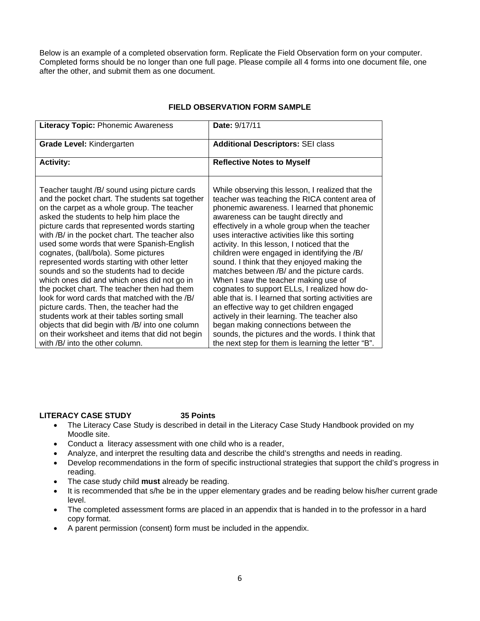Below is an example of a completed observation form. Replicate the Field Observation form on your computer. Completed forms should be no longer than one full page. Please compile all 4 forms into one document file, one after the other, and submit them as one document.

#### **Literacy Topic:** Phonemic Awareness **Date:** 9/17/11 **Grade Level: Kindergarten <b>Additional Descriptors:** SEI class Activity: **Activity: Activity: Reflective Notes to Myself** Teacher taught /B/ sound using picture cards and the pocket chart. The students sat together on the carpet as a whole group. The teacher asked the students to help him place the picture cards that represented words starting with /B/ in the pocket chart. The teacher also used some words that were Spanish-English cognates, (ball/bola). Some pictures represented words starting with other letter sounds and so the students had to decide which ones did and which ones did not go in the pocket chart. The teacher then had them look for word cards that matched with the /B/ picture cards. Then, the teacher had the students work at their tables sorting small objects that did begin with /B/ into one column on their worksheet and items that did not begin While observing this lesson, I realized that the teacher was teaching the RICA content area of phonemic awareness. I learned that phonemic awareness can be taught directly and effectively in a whole group when the teacher uses interactive activities like this sorting activity. In this lesson, I noticed that the children were engaged in identifying the /B/ sound. I think that they enjoyed making the matches between /B/ and the picture cards. When I saw the teacher making use of cognates to support ELLs, I realized how doable that is. I learned that sorting activities are an effective way to get children engaged actively in their learning. The teacher also began making connections between the sounds, the pictures and the words. I think that

### **FIELD OBSERVATION FORM SAMPLE**

#### **LITERACY CASE STUDY 35 Points**

with /B/ into the other column.

- The Literacy Case Study is described in detail in the Literacy Case Study Handbook provided on my Moodle site.
- Conduct a literacy assessment with one child who is a reader,
- Analyze, and interpret the resulting data and describe the child's strengths and needs in reading.
- Develop recommendations in the form of specific instructional strategies that support the child's progress in reading.

the next step for them is learning the letter "B".

- The case study child **must** already be reading.
- It is recommended that s/he be in the upper elementary grades and be reading below his/her current grade level.
- The completed assessment forms are placed in an appendix that is handed in to the professor in a hard copy format.
- A parent permission (consent) form must be included in the appendix.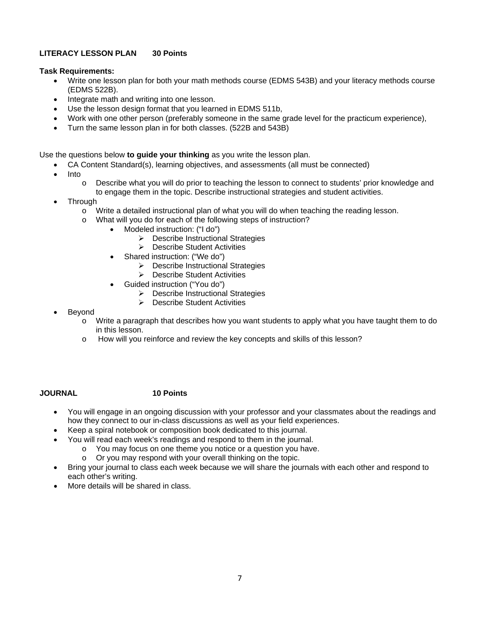### **LITERACY LESSON PLAN 30 Points**

#### **Task Requirements:**

- Write one lesson plan for both your math methods course (EDMS 543B) and your literacy methods course (EDMS 522B).
- Integrate math and writing into one lesson.
- Use the lesson design format that you learned in EDMS 511b,
- Work with one other person (preferably someone in the same grade level for the practicum experience),
- Turn the same lesson plan in for both classes. (522B and 543B)

Use the questions below **to guide your thinking** as you write the lesson plan.

- CA Content Standard(s), learning objectives, and assessments (all must be connected)
- Into
	- $\circ$  Describe what you will do prior to teaching the lesson to connect to students' prior knowledge and to engage them in the topic. Describe instructional strategies and student activities.
- **Through** 
	- $\circ$  Write a detailed instructional plan of what you will do when teaching the reading lesson.
		- What will you do for each of the following steps of instruction?
			- Modeled instruction: ("I do")
				- $\triangleright$  Describe Instructional Strategies
				- **▶ Describe Student Activities**
				- Shared instruction: ("We do")
					- $\triangleright$  Describe Instructional Strategies
					- ▶ Describe Student Activities
			- Guided instruction ("You do")
				- **Describe Instructional Strategies**
				- ▶ Describe Student Activities
- Beyond
	- $\circ$  Write a paragraph that describes how you want students to apply what you have taught them to do in this lesson.
	- o How will you reinforce and review the key concepts and skills of this lesson?

## **JOURNAL 10 Points**

- You will engage in an ongoing discussion with your professor and your classmates about the readings and how they connect to our in-class discussions as well as your field experiences.
- Keep a spiral notebook or composition book dedicated to this journal.
- You will read each week's readings and respond to them in the journal.
	- o You may focus on one theme you notice or a question you have.
		- o Or you may respond with your overall thinking on the topic.
- Bring your journal to class each week because we will share the journals with each other and respond to each other's writing.
- More details will be shared in class.